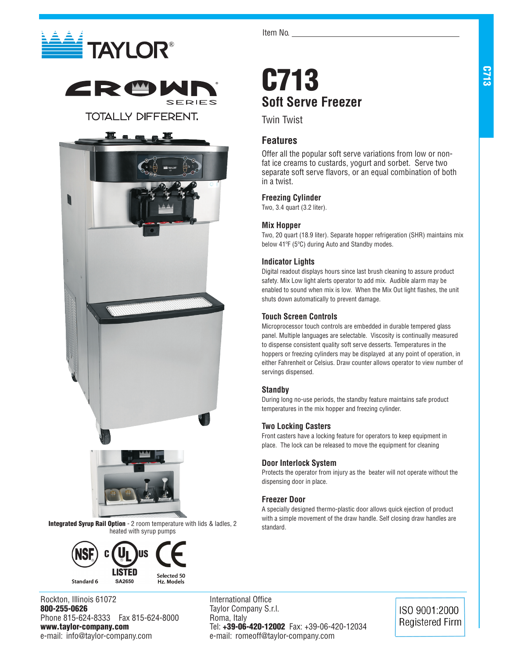



**TOTALLY DIFFERENT.** 





Integrated Syrup Rail Option - 2 room temperature with lids & ladles, 2 heated with syrup pumps



Rockton, Illinois 61072 800-255-0626 Phone 815-624-8333 Fax 815-624-8000 www.taylor-company.com e-mail: info@taylor-company.com

Item No.

## C713 **Soft Serve Freezer**

Twin Twist

## **Features**

Offer all the popular soft serve variations from low or nonfat ice creams to custards, yogurt and sorbet. Serve two separate soft serve flavors, or an equal combination of both in a twist.

## **Freezing Cylinder**

Two, 3.4 quart (3.2 liter).

## **Mix Hopper**

Two, 20 quart (18.9 liter). Separate hopper refrigeration (SHR) maintains mix below 41ºF (5ºC) during Auto and Standby modes.

## **Indicator Lights**

Digital readout displays hours since last brush cleaning to assure product safety. Mix Low light alerts operator to add mix. Audible alarm may be enabled to sound when mix is low. When the Mix Out light flashes, the unit shuts down automatically to prevent damage.

## **Touch Screen Controls**

Microprocessor touch controls are embedded in durable tempered glass panel. Multiple languages are selectable. Viscosity is continually measured to dispense consistent quality soft serve desserts. Temperatures in the hoppers or freezing cylinders may be displayed at any point of operation, in either Fahrenheit or Celsius. Draw counter allows operator to view number of servings dispensed.

## **Standby**

During long no-use periods, the standby feature maintains safe product temperatures in the mix hopper and freezing cylinder.

## **Two Locking Casters**

Front casters have a locking feature for operators to keep equipment in place. The lock can be released to move the equipment for cleaning

### **Door Interlock System**

Protects the operator from injury as the beater will not operate without the dispensing door in place.

## **Freezer Door**

A specially designed thermo-plastic door allows quick ejection of product with a simple movement of the draw handle. Self closing draw handles are standard.

International Office Taylor Company S.r.l. Roma, Italy Tel: +39-06-420-12002 Fax: +39-06-420-12034 e-mail: romeoff@taylor-company.com

ISO 9001:2000 **Registered Firm**